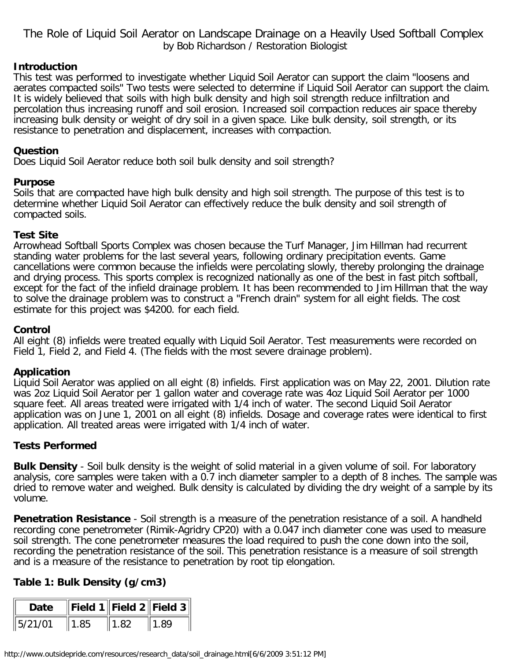The Role of Liquid Soil Aerator on Landscape Drainage on a Heavily Used Softball Complex by Bob Richardson / Restoration Biologist

### **Introduction**

This test was performed to investigate whether Liquid Soil Aerator can support the claim "loosens and aerates compacted soils" Two tests were selected to determine if Liquid Soil Aerator can support the claim. It is widely believed that soils with high bulk density and high soil strength reduce infiltration and percolation thus increasing runoff and soil erosion. Increased soil compaction reduces air space thereby increasing bulk density or weight of dry soil in a given space. Like bulk density, soil strength, or its resistance to penetration and displacement, increases with compaction.

### **Question**

Does Liquid Soil Aerator reduce both soil bulk density and soil strength?

### **Purpose**

Soils that are compacted have high bulk density and high soil strength. The purpose of this test is to determine whether Liquid Soil Aerator can effectively reduce the bulk density and soil strength of compacted soils.

### **Test Site**

Arrowhead Softball Sports Complex was chosen because the Turf Manager, Jim Hillman had recurrent standing water problems for the last several years, following ordinary precipitation events. Game cancellations were common because the infields were percolating slowly, thereby prolonging the drainage and drying process. This sports complex is recognized nationally as one of the best in fast pitch softball, except for the fact of the infield drainage problem. It has been recommended to Jim Hillman that the way to solve the drainage problem was to construct a "French drain" system for all eight fields. The cost estimate for this project was \$4200. for each field.

### **Control**

All eight (8) infields were treated equally with Liquid Soil Aerator. Test measurements were recorded on Field 1, Field 2, and Field 4. (The fields with the most severe drainage problem).

# **Application**

Liquid Soil Aerator was applied on all eight (8) infields. First application was on May 22, 2001. Dilution rate was 2oz Liquid Soil Aerator per 1 gallon water and coverage rate was 4oz Liquid Soil Aerator per 1000 square feet. All areas treated were irrigated with 1/4 inch of water. The second Liquid Soil Aerator application was on June 1, 2001 on all eight (8) infields. Dosage and coverage rates were identical to first application. All treated areas were irrigated with 1/4 inch of water.

### **Tests Performed**

**Bulk Density** - Soil bulk density is the weight of solid material in a given volume of soil. For laboratory analysis, core samples were taken with a 0.7 inch diameter sampler to a depth of 8 inches. The sample was dried to remove water and weighed. Bulk density is calculated by dividing the dry weight of a sample by its volume.

**Penetration Resistance** - Soil strength is a measure of the penetration resistance of a soil. A handheld recording cone penetrometer (Rimik-Agridry CP20) with a 0.047 inch diameter cone was used to measure soil strength. The cone penetrometer measures the load required to push the cone down into the soil, recording the penetration resistance of the soil. This penetration resistance is a measure of soil strength and is a measure of the resistance to penetration by root tip elongation.

# **Table 1: Bulk Density (g/cm3)**

| Date                | $\ $ Field 1 $\ $ Field 2 $\ $ Field 3 $\ $ |      |      |
|---------------------|---------------------------------------------|------|------|
| $\parallel$ 5/21/01 | 1.85                                        | 1.82 | 1.89 |